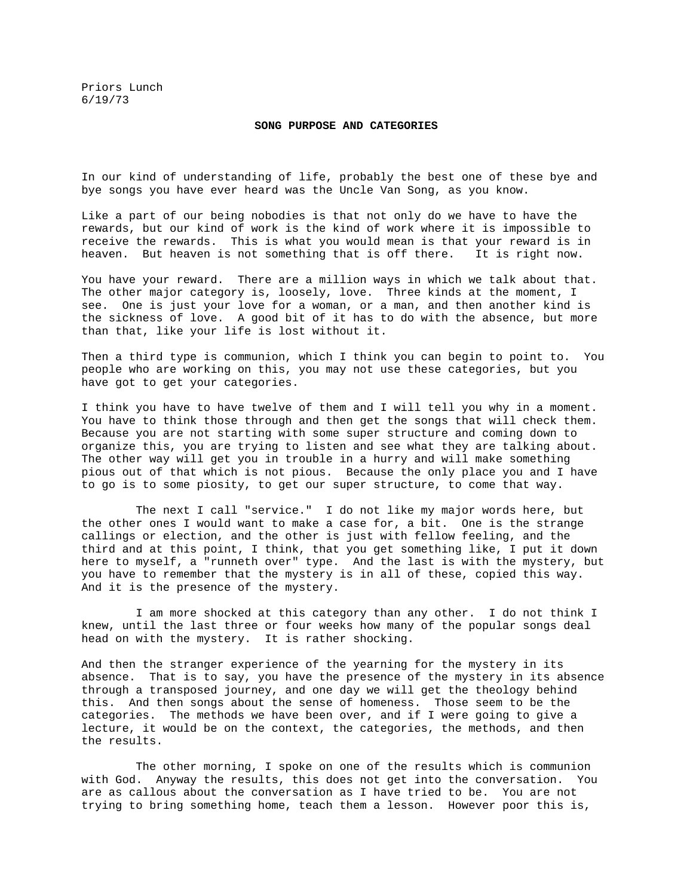Priors Lunch 6/19/73

## **SONG PURPOSE AND CATEGORIES**

In our kind of understanding of life, probably the best one of these bye and bye songs you have ever heard was the Uncle Van Song, as you know.

Like a part of our being nobodies is that not only do we have to have the rewards, but our kind of work is the kind of work where it is impossible to receive the rewards. This is what you would mean is that your reward is in heaven. But heaven is not something that is off there. It is right now.

You have your reward. There are a million ways in which we talk about that. The other major category is, loosely, love. Three kinds at the moment, I see. One is just your love for a woman, or a man, and then another kind is the sickness of love. A good bit of it has to do with the absence, but more than that, like your life is lost without it.

Then a third type is communion, which I think you can begin to point to. You people who are working on this, you may not use these categories, but you have got to get your categories.

I think you have to have twelve of them and I will tell you why in a moment. You have to think those through and then get the songs that will check them. Because you are not starting with some super structure and coming down to organize this, you are trying to listen and see what they are talking about. The other way will get you in trouble in a hurry and will make something pious out of that which is not pious. Because the only place you and I have to go is to some piosity, to get our super structure, to come that way.

 The next I call "service." I do not like my major words here, but the other ones I would want to make a case for, a bit. One is the strange callings or election, and the other is just with fellow feeling, and the third and at this point, I think, that you get something like, I put it down here to myself, a "runneth over" type. And the last is with the mystery, but you have to remember that the mystery is in all of these, copied this way. And it is the presence of the mystery.

 I am more shocked at this category than any other. I do not think I knew, until the last three or four weeks how many of the popular songs deal head on with the mystery. It is rather shocking.

And then the stranger experience of the yearning for the mystery in its absence. That is to say, you have the presence of the mystery in its absence through a transposed journey, and one day we will get the theology behind this. And then songs about the sense of homeness. Those seem to be the categories. The methods we have been over, and if I were going to give a lecture, it would be on the context, the categories, the methods, and then the results.

 The other morning, I spoke on one of the results which is communion with God. Anyway the results, this does not get into the conversation. You are as callous about the conversation as I have tried to be. You are not trying to bring something home, teach them a lesson. However poor this is,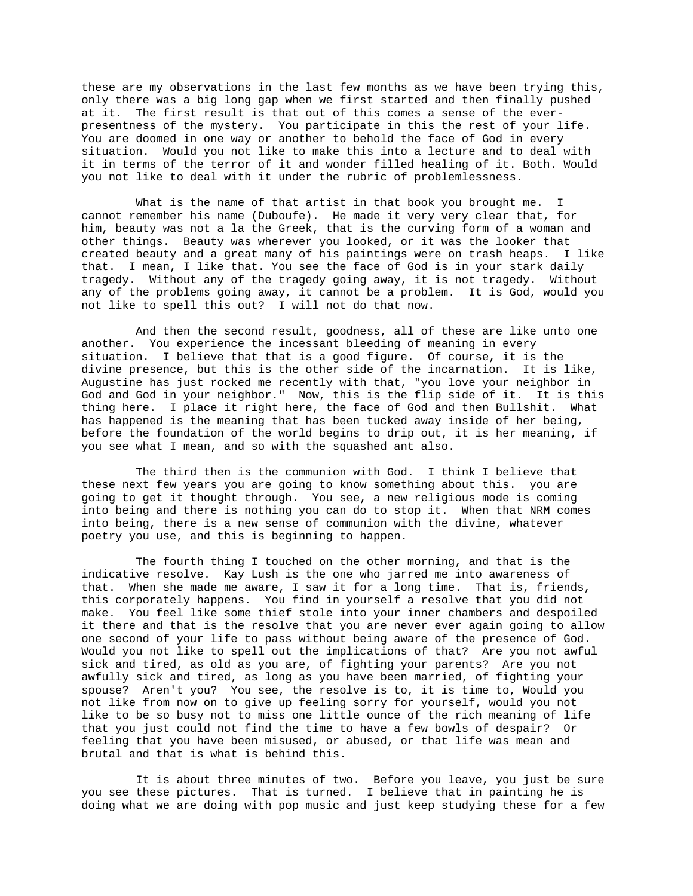these are my observations in the last few months as we have been trying this, only there was a big long gap when we first started and then finally pushed at it. The first result is that out of this comes a sense of the everpresentness of the mystery. You participate in this the rest of your life. You are doomed in one way or another to behold the face of God in every situation. Would you not like to make this into a lecture and to deal with it in terms of the terror of it and wonder filled healing of it. Both. Would you not like to deal with it under the rubric of problemlessness.

What is the name of that artist in that book you brought me. cannot remember his name (Duboufe). He made it very very clear that, for him, beauty was not a la the Greek, that is the curving form of a woman and other things. Beauty was wherever you looked, or it was the looker that created beauty and a great many of his paintings were on trash heaps. I like that. I mean, I like that. You see the face of God is in your stark daily tragedy. Without any of the tragedy going away, it is not tragedy. Without any of the problems going away, it cannot be a problem. It is God, would you not like to spell this out? I will not do that now.

 And then the second result, goodness, all of these are like unto one another. You experience the incessant bleeding of meaning in every situation. I believe that that is a good figure. Of course, it is the divine presence, but this is the other side of the incarnation. It is like, Augustine has just rocked me recently with that, "you love your neighbor in God and God in your neighbor." Now, this is the flip side of it. It is this thing here. I place it right here, the face of God and then Bullshit. What has happened is the meaning that has been tucked away inside of her being, before the foundation of the world begins to drip out, it is her meaning, if you see what I mean, and so with the squashed ant also.

 The third then is the communion with God. I think I believe that these next few years you are going to know something about this. you are going to get it thought through. You see, a new religious mode is coming into being and there is nothing you can do to stop it. When that NRM comes into being, there is a new sense of communion with the divine, whatever poetry you use, and this is beginning to happen.

 The fourth thing I touched on the other morning, and that is the indicative resolve. Kay Lush is the one who jarred me into awareness of that. When she made me aware, I saw it for a long time. That is, friends, this corporately happens. You find in yourself a resolve that you did not make. You feel like some thief stole into your inner chambers and despoiled it there and that is the resolve that you are never ever again going to allow one second of your life to pass without being aware of the presence of God. Would you not like to spell out the implications of that? Are you not awful sick and tired, as old as you are, of fighting your parents? Are you not awfully sick and tired, as long as you have been married, of fighting your spouse? Aren't you? You see, the resolve is to, it is time to, Would you not like from now on to give up feeling sorry for yourself, would you not like to be so busy not to miss one little ounce of the rich meaning of life that you just could not find the time to have a few bowls of despair? Or feeling that you have been misused, or abused, or that life was mean and brutal and that is what is behind this.

 It is about three minutes of two. Before you leave, you just be sure you see these pictures. That is turned. I believe that in painting he is doing what we are doing with pop music and just keep studying these for a few